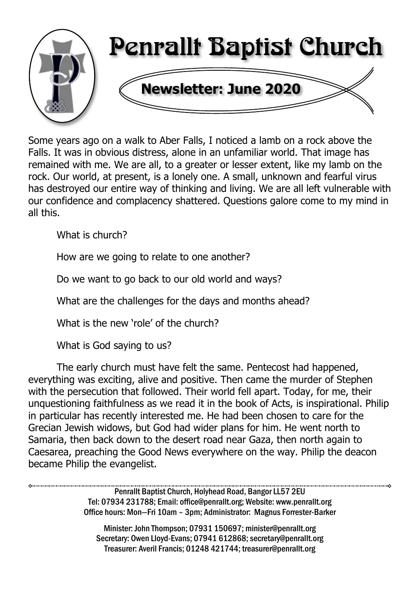

Some years ago on a walk to Aber Falls, I noticed a lamb on a rock above the Falls. It was in obvious distress, alone in an unfamiliar world. That image has remained with me. We are all, to a greater or lesser extent, like my lamb on the rock. Our world, at present, is a lonely one. A small, unknown and fearful virus has destroyed our entire way of thinking and living. We are all left vulnerable with our confidence and complacency shattered. Questions galore come to my mind in all this.

What is church?

How are we going to relate to one another?

Do we want to go back to our old world and ways?

What are the challenges for the days and months ahead?

What is the new 'role' of the church?

What is God saying to us?

The early church must have felt the same. Pentecost had happened, everything was exciting, alive and positive. Then came the murder of Stephen with the persecution that followed. Their world fell apart. Today, for me, their unquestioning faithfulness as we read it in the book of Acts, is inspirational. Philip in particular has recently interested me. He had been chosen to care for the Grecian Jewish widows, but God had wider plans for him. He went north to Samaria, then back down to the desert road near Gaza, then north again to Caesarea, preaching the Good News everywhere on the way. Philip the deacon became Philip the evangelist.

> Penrallt Baptist Church, Holyhead Road, Bangor LL57 2EU Tel: 07934 231788; Email: office@penrallt.org; Website: www.penrallt.org Office hours: Mon—Fri 10am – 3pm; Administrator: Magnus Forrester-Barker

Minister: John Thompson; 07931 150697; minister@penrallt.org Secretary: Owen Lloyd-Evans; 07941 612868; secretary@penrallt.org Treasurer: Averil Francis; 01248 421744; treasurer@penrallt.org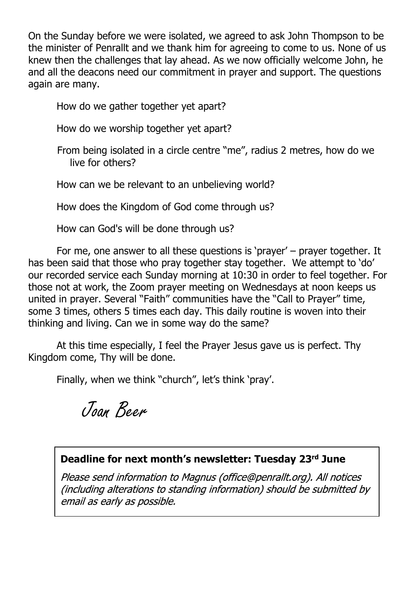On the Sunday before we were isolated, we agreed to ask John Thompson to be the minister of Penrallt and we thank him for agreeing to come to us. None of us knew then the challenges that lay ahead. As we now officially welcome John, he and all the deacons need our commitment in prayer and support. The questions again are many.

How do we gather together yet apart?

How do we worship together yet apart?

From being isolated in a circle centre "me", radius 2 metres, how do we live for others?

How can we be relevant to an unbelieving world?

How does the Kingdom of God come through us?

How can God's will be done through us?

For me, one answer to all these questions is 'prayer' – prayer together. It has been said that those who pray together stay together. We attempt to 'do' our recorded service each Sunday morning at 10:30 in order to feel together. For those not at work, the Zoom prayer meeting on Wednesdays at noon keeps us united in prayer. Several "Faith" communities have the "Call to Prayer" time, some 3 times, others 5 times each day. This daily routine is woven into their thinking and living. Can we in some way do the same?

At this time especially, I feel the Prayer Jesus gave us is perfect. Thy Kingdom come, Thy will be done.

Finally, when we think "church", let's think 'pray'.

Joan Beer

#### **Deadline for next month's newsletter: Tuesday 23rd June**

Please send information to Magnus (office@penrallt.org). All notices (including alterations to standing information) should be submitted by email as early as possible.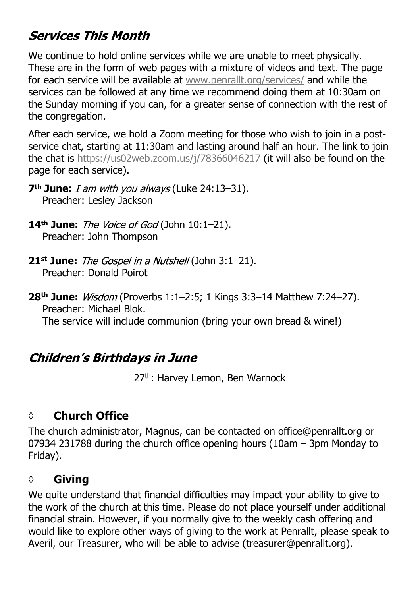# **Services This Month**

We continue to hold online services while we are unable to meet physically. These are in the form of web pages with a mixture of videos and text. The page for each service will be available at [www.penrallt.org/services/](https://www.penrallt.org/services/index.php) and while the services can be followed at any time we recommend doing them at 10:30am on the Sunday morning if you can, for a greater sense of connection with the rest of the congregation.

After each service, we hold a Zoom meeting for those who wish to join in a postservice chat, starting at 11:30am and lasting around half an hour. The link to join the chat is <https://us02web.zoom.us/j/78366046217> (it will also be found on the page for each service).

- **7<sup>th</sup> June:** *I am with you always* (Luke 24:13-31). Preacher: Lesley Jackson
- **14<sup>th</sup> June:** The Voice of God (John 10:1-21). Preacher: John Thompson
- **21st June:** The Gospel in a Nutshell (John 3:1–21). Preacher: Donald Poirot
- **28th June:** (Proverbs 1:1–2:5; 1 Kings 3:3–14 Matthew 7:24–27). Preacher: Michael Blok.

The service will include communion (bring your own bread & wine!)

# **Children's Birthdays in June**

27<sup>th</sup>: Harvey Lemon, Ben Warnock

#### **◊ Church Office**

The church administrator, Magnus, can be contacted on office@penrallt.org or 07934 231788 during the church office opening hours (10am – 3pm Monday to Friday).

#### **◊ Giving**

We quite understand that financial difficulties may impact your ability to give to the work of the church at this time. Please do not place yourself under additional financial strain. However, if you normally give to the weekly cash offering and would like to explore other ways of giving to the work at Penrallt, please speak to Averil, our Treasurer, who will be able to advise (treasurer@penrallt.org).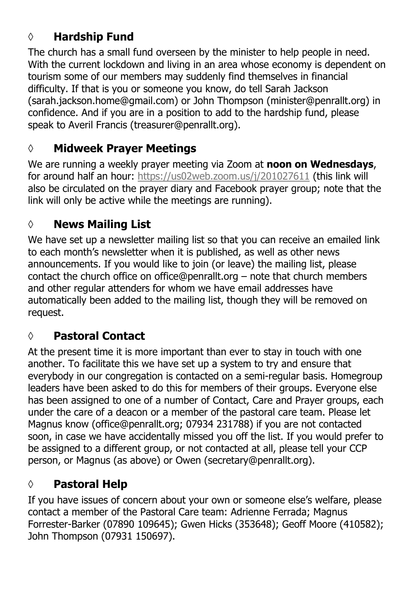# **◊ Hardship Fund**

The church has a small fund overseen by the minister to help people in need. With the current lockdown and living in an area whose economy is dependent on tourism some of our members may suddenly find themselves in financial difficulty. If that is you or someone you know, do tell Sarah Jackson (sarah.jackson.home@gmail.com) or John Thompson (minister@penrallt.org) in confidence. And if you are in a position to add to the hardship fund, please speak to Averil Francis (treasurer@penrallt.org).

# **◊ Midweek Prayer Meetings**

We are running a weekly prayer meeting via Zoom at **noon on Wednesdays**, for around half an hour: <https://us02web.zoom.us/j/201027611>(this link will also be circulated on the prayer diary and Facebook prayer group; note that the link will only be active while the meetings are running).

# **◊ News Mailing List**

We have set up a newsletter mailing list so that you can receive an emailed link to each month's newsletter when it is published, as well as other news announcements. If you would like to join (or leave) the mailing list, please contact the church office on office@penrallt.org – note that church members and other regular attenders for whom we have email addresses have automatically been added to the mailing list, though they will be removed on request.

# **◊ Pastoral Contact**

At the present time it is more important than ever to stay in touch with one another. To facilitate this we have set up a system to try and ensure that everybody in our congregation is contacted on a semi-regular basis. Homegroup leaders have been asked to do this for members of their groups. Everyone else has been assigned to one of a number of Contact, Care and Prayer groups, each under the care of a deacon or a member of the pastoral care team. Please let Magnus know (office@penrallt.org; 07934 231788) if you are not contacted soon, in case we have accidentally missed you off the list. If you would prefer to be assigned to a different group, or not contacted at all, please tell your CCP person, or Magnus (as above) or Owen (secretary@penrallt.org).

# **◊ Pastoral Help**

If you have issues of concern about your own or someone else's welfare, please contact a member of the Pastoral Care team: Adrienne Ferrada; Magnus Forrester-Barker (07890 109645); Gwen Hicks (353648); Geoff Moore (410582); John Thompson (07931 150697).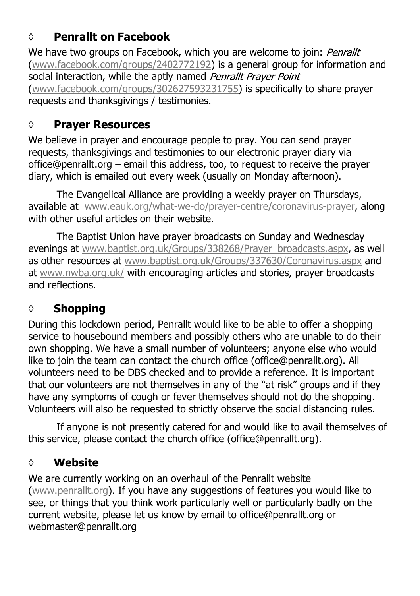#### **◊ Penrallt on Facebook**

We have two groups on Facebook, which you are welcome to join: Penrallt [\(www.facebook.com/groups/2402772192](https://www.facebook.com/groups/2402772192)) is a general group for information and social interaction, while the aptly named Penrallt Praver Point [\(www.facebook.com/groups/302627593231755](https://www.facebook.com/groups/302627593231755)) is specifically to share prayer requests and thanksgivings / testimonies.

#### **◊ Prayer Resources**

We believe in prayer and encourage people to pray. You can send prayer requests, thanksgivings and testimonies to our electronic prayer diary via office@penrallt.org – email this address, too, to request to receive the prayer diary, which is emailed out every week (usually on Monday afternoon).

The Evangelical Alliance are providing a weekly prayer on Thursdays, available at [www.eauk.org/what-we-do/prayer-centre/coronavirus-prayer,](https://www.eauk.org/what-we-do/prayer-centre/coronavirus-prayer) along with other useful articles on their website.

The Baptist Union have prayer broadcasts on Sunday and Wednesday evenings at [www.baptist.org.uk/Groups/338268/Prayer\\_broadcasts.aspx](https://www.baptist.org.uk/Groups/338268/Prayer_broadcasts.aspx), as well as other resources at [www.baptist.org.uk/Groups/337630/Coronavirus.aspx](https://www.baptist.org.uk/Groups/337630/Coronavirus.aspx) and at [www.nwba.org.uk/](http://www.nwba.org.uk/) with encouraging articles and stories, prayer broadcasts and reflections.

#### **◊ Shopping**

During this lockdown period, Penrallt would like to be able to offer a shopping service to housebound members and possibly others who are unable to do their own shopping. We have a small number of volunteers; anyone else who would like to join the team can contact the church office (office@penrallt.org). All volunteers need to be DBS checked and to provide a reference. It is important that our volunteers are not themselves in any of the "at risk" groups and if they have any symptoms of cough or fever themselves should not do the shopping. Volunteers will also be requested to strictly observe the social distancing rules.

If anyone is not presently catered for and would like to avail themselves of this service, please contact the church office (office@penrallt.org).

#### **◊ Website**

We are currently working on an overhaul of the Penrallt website [\(www.penrallt.org](https://www.penrallt.org/home/index.php)). If you have any suggestions of features you would like to see, or things that you think work particularly well or particularly badly on the current website, please let us know by email to office@penrallt.org or webmaster@penrallt.org